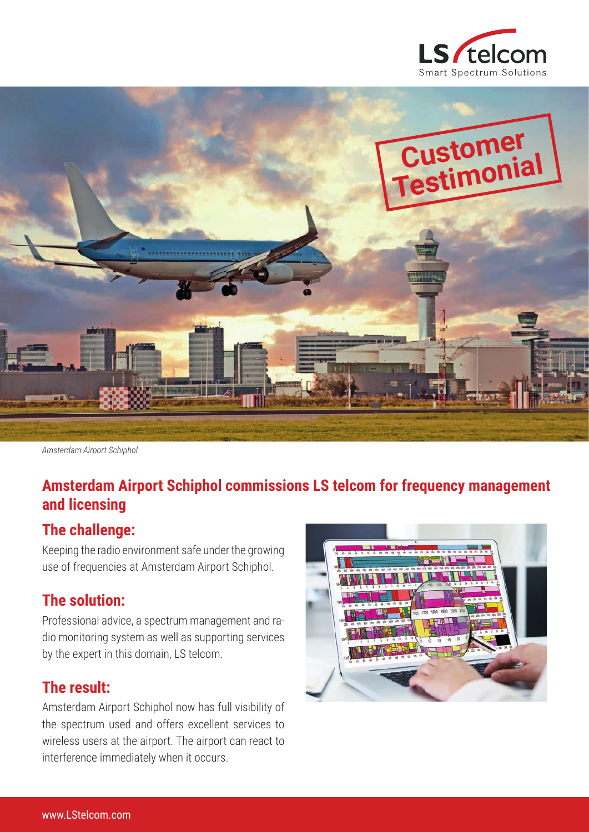



*Amsterdam Airport Schiphol*

# **Amsterdam Airport Schiphol commissions LS telcom for frequency management and licensing**

### **The challenge:**

Keeping the radio environment safe under the growing use of frequencies at Amsterdam Airport Schiphol.

### **The solution:**

Professional advice, a spectrum management and radio monitoring system as well as supporting services by the expert in this domain, LS telcom.

### **The result:**

Amsterdam Airport Schiphol now has full visibility of the spectrum used and offers excellent services to wireless users at the airport. The airport can react to interference immediately when it occurs.